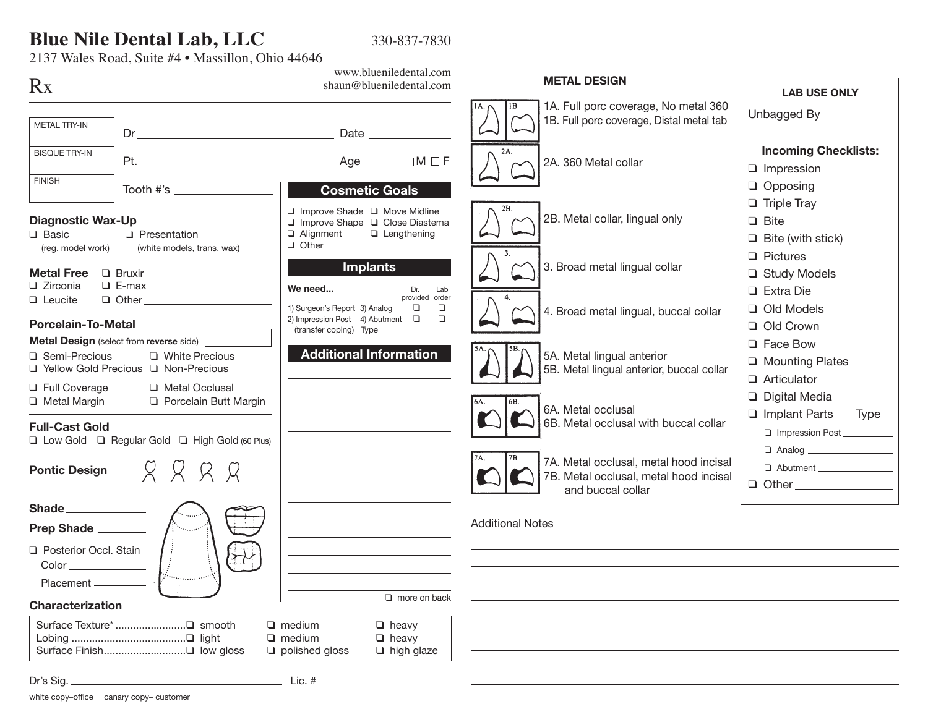## **Blue Nile Dental Lab, LLC** 330-837-7830

2137 Wales Road, Suite #4 • Massillon, Ohio 44646

|                                                                                                                                               | www.blueniledental.com<br>shaun@blueniledental.com                                                                                                | <b>METAL DESIGN</b>                                                                                          |                                                                                  |
|-----------------------------------------------------------------------------------------------------------------------------------------------|---------------------------------------------------------------------------------------------------------------------------------------------------|--------------------------------------------------------------------------------------------------------------|----------------------------------------------------------------------------------|
| Rx                                                                                                                                            |                                                                                                                                                   |                                                                                                              | <b>LAB USE ONLY</b>                                                              |
| <b>METAL TRY-IN</b>                                                                                                                           |                                                                                                                                                   | 1A. Full porc coverage, No metal 360<br>IB.<br>1B. Full porc coverage, Distal metal tab                      | Unbagged By                                                                      |
| <b>BISQUE TRY-IN</b>                                                                                                                          |                                                                                                                                                   | 2A.<br>2A. 360 Metal collar                                                                                  | <b>Incoming Checklists:</b><br>$\Box$ Impression                                 |
| <b>FINISH</b>                                                                                                                                 | <b>Cosmetic Goals</b>                                                                                                                             |                                                                                                              | $\Box$ Opposing                                                                  |
| <b>Diagnostic Wax-Up</b><br>$\Box$ Basic<br>$\Box$ Presentation<br>(white models, trans. wax)<br>(reg. model work)                            | □ Improve Shade □ Move Midline<br>□ Improve Shape □ Close Diastema<br>Alianment<br>$\Box$ Lengthening<br>Other                                    | 2B. Metal collar, lingual only                                                                               | $\Box$ Triple Tray<br>$\Box$ Bite<br>$\Box$ Bite (with stick)<br>$\Box$ Pictures |
| <b>Metal Free</b><br>$\Box$ Bruxir<br>$\Box$ Zirconia<br>$\Box$ E-max                                                                         | <b>Implants</b><br>We need<br>Dr.<br>Lab                                                                                                          | 3. Broad metal lingual collar                                                                                | □ Study Models<br>$\Box$ Extra Die                                               |
| $\Box$ Other<br>$\Box$ Leucite<br><b>Porcelain-To-Metal</b>                                                                                   | provided order<br>1) Surgeon's Report 3) Analog<br>$\Box$<br>$\Box$<br>2) Impression Post 4) Abutment $\Box$<br>$\Box$<br>(transfer coping) Type_ | 4. Broad metal lingual, buccal collar                                                                        | $\Box$ Old Models<br>$\Box$ Old Crown                                            |
| <b>Metal Design</b> (select from reverse side)<br>□ Semi-Precious<br>$\Box$ White Precious<br>$\Box$ Yellow Gold Precious $\Box$ Non-Precious | <b>Additional Information</b>                                                                                                                     | 5A. Metal lingual anterior<br>5B. Metal lingual anterior, buccal collar                                      | <b>D</b> Face Bow<br>□ Mounting Plates<br>Articulator_                           |
| <b>D</b> Full Coverage<br>Metal Occlusal<br>□ Metal Margin<br><b>Q</b> Porcelain Butt Margin<br><b>Full-Cast Gold</b>                         |                                                                                                                                                   | 6B.<br>6A. Metal occlusal<br>6B. Metal occlusal with buccal collar                                           | $\Box$ Digital Media<br>$\Box$ Implant Parts<br><b>Type</b><br>Impression Post   |
| □ Low Gold □ Regular Gold □ High Gold (60 Plus)<br>Я Я Я Я<br><b>Pontic Design</b>                                                            |                                                                                                                                                   | 7B.<br>7A. Metal occlusal, metal hood incisal<br>7B. Metal occlusal, metal hood incisal<br>and buccal collar | $\Box$ Abutment<br>$\Box$ Other $\Box$                                           |
| Prep Shade<br>Posterior Occl. Stain                                                                                                           |                                                                                                                                                   | <b>Additional Notes</b>                                                                                      |                                                                                  |
| $\frac{1}{2}$<br>$Color \_\_\_\_\_\_\_\_$<br>Placement ________                                                                               |                                                                                                                                                   |                                                                                                              |                                                                                  |
| Characterization                                                                                                                              | $\Box$ more on back                                                                                                                               |                                                                                                              |                                                                                  |
|                                                                                                                                               | $\Box$ medium<br>$\Box$ heavy                                                                                                                     |                                                                                                              |                                                                                  |
|                                                                                                                                               | $\Box$ medium<br>$\Box$ heavy                                                                                                                     |                                                                                                              |                                                                                  |
|                                                                                                                                               | $\Box$ polished gloss<br>$\Box$ high glaze                                                                                                        |                                                                                                              |                                                                                  |

Dr's Sig. Lic. #